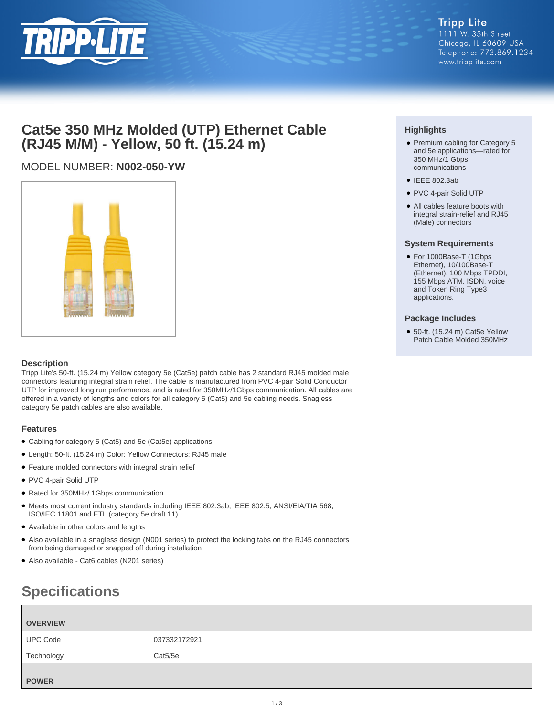

# **Cat5e 350 MHz Molded (UTP) Ethernet Cable (RJ45 M/M) - Yellow, 50 ft. (15.24 m)**

# MODEL NUMBER: **N002-050-YW**



## **Description**

Tripp Lite's 50-ft. (15.24 m) Yellow category 5e (Cat5e) patch cable has 2 standard RJ45 molded male connectors featuring integral strain relief. The cable is manufactured from PVC 4-pair Solid Conductor UTP for improved long run performance, and is rated for 350MHz/1Gbps communication. All cables are offered in a variety of lengths and colors for all category 5 (Cat5) and 5e cabling needs. Snagless category 5e patch cables are also available.

### **Features**

- Cabling for category 5 (Cat5) and 5e (Cat5e) applications
- Length: 50-ft. (15.24 m) Color: Yellow Connectors: RJ45 male
- Feature molded connectors with integral strain relief
- PVC 4-pair Solid UTP
- Rated for 350MHz/ 1Gbps communication
- Meets most current industry standards including IEEE 802.3ab, IEEE 802.5, ANSI/EIA/TIA 568, ISO/IEC 11801 and ETL (category 5e draft 11)
- Available in other colors and lengths
- Also available in a snagless design (N001 series) to protect the locking tabs on the RJ45 connectors from being damaged or snapped off during installation
- Also available Cat6 cables (N201 series)

# **Specifications**

| <b>OVERVIEW</b> |              |
|-----------------|--------------|
| <b>UPC Code</b> | 037332172921 |
| Technology      | Cat5/5e      |
| <b>POWER</b>    |              |

# **Highlights**

- Premium cabling for Category 5 and 5e applications—rated for 350 MHz/1 Gbps communications
- IEEE 802.3ab
- PVC 4-pair Solid UTP
- All cables feature boots with integral strain-relief and RJ45 (Male) connectors

### **System Requirements**

● For 1000Base-T (1Gbps Ethernet), 10/100Base-T (Ethernet), 100 Mbps TPDDI, 155 Mbps ATM, ISDN, voice and Token Ring Type3 applications.

### **Package Includes**

● 50-ft. (15.24 m) Cat5e Yellow Patch Cable Molded 350MHz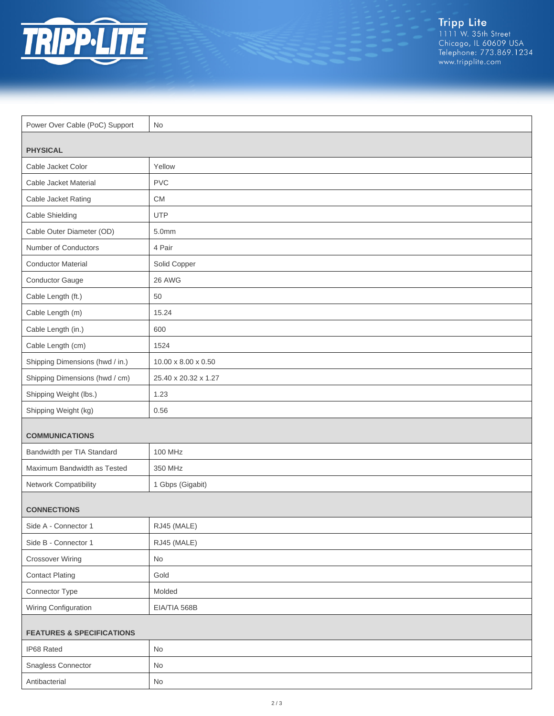

| Power Over Cable (PoC) Support       | No                              |  |
|--------------------------------------|---------------------------------|--|
|                                      |                                 |  |
| <b>PHYSICAL</b>                      |                                 |  |
| Cable Jacket Color                   | Yellow                          |  |
| Cable Jacket Material                | <b>PVC</b>                      |  |
| Cable Jacket Rating                  | <b>CM</b>                       |  |
| Cable Shielding                      | <b>UTP</b>                      |  |
| Cable Outer Diameter (OD)            | 5.0mm                           |  |
| Number of Conductors                 | 4 Pair                          |  |
| <b>Conductor Material</b>            | Solid Copper                    |  |
| Conductor Gauge                      | 26 AWG                          |  |
| Cable Length (ft.)                   | 50                              |  |
| Cable Length (m)                     | 15.24                           |  |
| Cable Length (in.)                   | 600                             |  |
| Cable Length (cm)                    | 1524                            |  |
| Shipping Dimensions (hwd / in.)      | $10.00 \times 8.00 \times 0.50$ |  |
| Shipping Dimensions (hwd / cm)       | 25.40 x 20.32 x 1.27            |  |
| Shipping Weight (lbs.)               | 1.23                            |  |
| Shipping Weight (kg)                 | 0.56                            |  |
| <b>COMMUNICATIONS</b>                |                                 |  |
| Bandwidth per TIA Standard           | 100 MHz                         |  |
| Maximum Bandwidth as Tested          | 350 MHz                         |  |
| Network Compatibility                | 1 Gbps (Gigabit)                |  |
|                                      |                                 |  |
| <b>CONNECTIONS</b>                   |                                 |  |
| Side A - Connector 1                 | RJ45 (MALE)                     |  |
| Side B - Connector 1                 | RJ45 (MALE)                     |  |
| <b>Crossover Wiring</b>              | No                              |  |
| <b>Contact Plating</b>               | Gold                            |  |
| Connector Type                       | Molded                          |  |
| Wiring Configuration                 | EIA/TIA 568B                    |  |
| <b>FEATURES &amp; SPECIFICATIONS</b> |                                 |  |
| IP68 Rated                           | No                              |  |
| Snagless Connector                   | No                              |  |
| Antibacterial                        | $\mathsf{No}$                   |  |